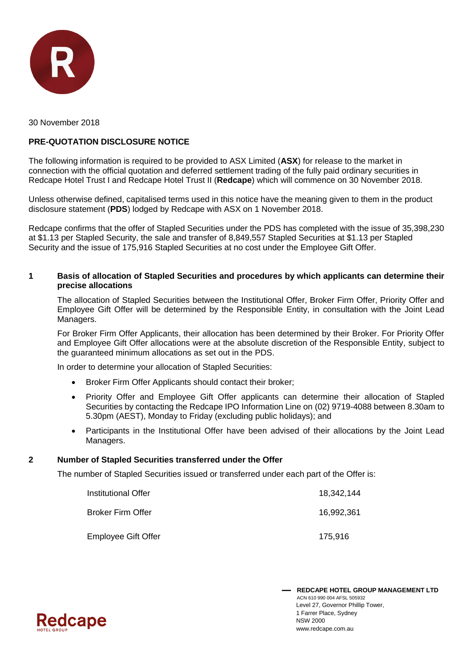

30 November 2018

# **PRE-QUOTATION DISCLOSURE NOTICE**

The following information is required to be provided to ASX Limited (**ASX**) for release to the market in connection with the official quotation and deferred settlement trading of the fully paid ordinary securities in Redcape Hotel Trust I and Redcape Hotel Trust II (**Redcape**) which will commence on 30 November 2018.

Unless otherwise defined, capitalised terms used in this notice have the meaning given to them in the product disclosure statement (**PDS**) lodged by Redcape with ASX on 1 November 2018.

Redcape confirms that the offer of Stapled Securities under the PDS has completed with the issue of 35,398,230 at \$1.13 per Stapled Security, the sale and transfer of 8,849,557 Stapled Securities at \$1.13 per Stapled Security and the issue of 175,916 Stapled Securities at no cost under the Employee Gift Offer.

#### **1 Basis of allocation of Stapled Securities and procedures by which applicants can determine their precise allocations**

The allocation of Stapled Securities between the Institutional Offer, Broker Firm Offer, Priority Offer and Employee Gift Offer will be determined by the Responsible Entity, in consultation with the Joint Lead Managers.

For Broker Firm Offer Applicants, their allocation has been determined by their Broker. For Priority Offer and Employee Gift Offer allocations were at the absolute discretion of the Responsible Entity, subject to the guaranteed minimum allocations as set out in the PDS.

In order to determine your allocation of Stapled Securities:

- Broker Firm Offer Applicants should contact their broker;
- Priority Offer and Employee Gift Offer applicants can determine their allocation of Stapled Securities by contacting the Redcape IPO Information Line on (02) 9719-4088 between 8.30am to 5.30pm (AEST), Monday to Friday (excluding public holidays); and
- Participants in the Institutional Offer have been advised of their allocations by the Joint Lead Managers.

#### **2 Number of Stapled Securities transferred under the Offer**

The number of Stapled Securities issued or transferred under each part of the Offer is:

| Institutional Offer        | 18.342.144 |
|----------------------------|------------|
| <b>Broker Firm Offer</b>   | 16.992.361 |
| <b>Employee Gift Offer</b> | 175.916    |

 **REDCAPE HOTEL GROUP MANAGEMENT LTD** ACN 610 990 004 AFSL 505932 Level 27, Governor Phillip Tower, 1 Farrer Place, Sydney NSW 2000 www.redcape.com.au

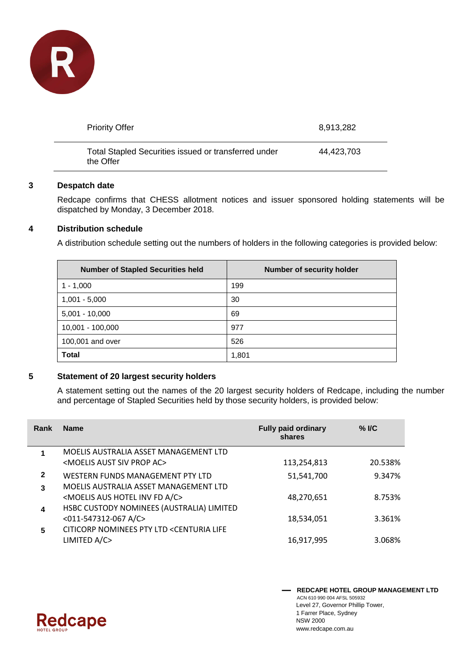

| <b>Priority Offer</b>                                             | 8,913,282  |
|-------------------------------------------------------------------|------------|
| Total Stapled Securities issued or transferred under<br>the Offer | 44.423.703 |

## **3 Despatch date**

Redcape confirms that CHESS allotment notices and issuer sponsored holding statements will be dispatched by Monday, 3 December 2018.

## **4 Distribution schedule**

A distribution schedule setting out the numbers of holders in the following categories is provided below:

| <b>Number of Stapled Securities held</b> | Number of security holder |
|------------------------------------------|---------------------------|
| 1 - 1.000                                | 199                       |
| $1,001 - 5,000$                          | 30                        |
| $5,001 - 10,000$                         | 69                        |
| 10,001 - 100,000                         | 977                       |
| 100,001 and over                         | 526                       |
| <b>Total</b>                             | 1,801                     |

#### **5 Statement of 20 largest security holders**

A statement setting out the names of the 20 largest security holders of Redcape, including the number and percentage of Stapled Securities held by those security holders, is provided below:

| Rank         | <b>Name</b>                                                                      | <b>Fully paid ordinary</b><br>shares | $%$ I/C |
|--------------|----------------------------------------------------------------------------------|--------------------------------------|---------|
|              | MOELIS AUSTRALIA ASSET MANAGEMENT LTD                                            |                                      |         |
|              | <moelis ac="" aust="" prop="" siv=""></moelis>                                   | 113,254,813                          | 20.538% |
| $\mathbf{2}$ | WESTERN FUNDS MANAGEMENT PTY LTD                                                 | 51,541,700                           | 9.347%  |
| 3            | MOELIS AUSTRALIA ASSET MANAGEMENT LTD                                            |                                      |         |
|              | <moelis a="" aus="" c="" fd="" hotel="" inv=""></moelis>                         | 48,270,651                           | 8.753%  |
| 4            | HSBC CUSTODY NOMINEES (AUSTRALIA) LIMITED                                        |                                      |         |
|              | <011-547312-067 A/C>                                                             | 18,534,051                           | 3.361%  |
| 5            | CITICORP NOMINEES PTY LTD <centuria life<="" th=""><th></th><th></th></centuria> |                                      |         |
|              | LIMITED A/C>                                                                     | 16,917,995                           | 3.068%  |



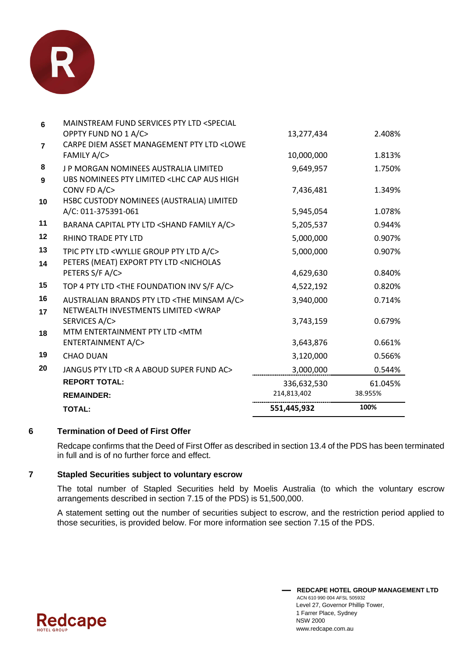

|                | <b>TOTAL:</b>                                                                                                                                  | 551,445,932            | 100%             |
|----------------|------------------------------------------------------------------------------------------------------------------------------------------------|------------------------|------------------|
|                | <b>REMAINDER:</b>                                                                                                                              | 214,813,402            | 38.955%          |
|                | <b>REPORT TOTAL:</b>                                                                                                                           | 336,632,530            | 61.045%          |
| 20             | JANGUS PTY LTD <r a="" aboud="" ac="" fund="" super=""></r>                                                                                    | 3,000,000              | 0.544%           |
| 19             | <b>CHAO DUAN</b>                                                                                                                               | 3,120,000              | 0.566%           |
| 18             | MTM ENTERTAINMENT PTY LTD <mtm<br>ENTERTAINMENT A/C&gt;</mtm<br>                                                                               | 3,643,876              | 0.661%           |
| 16<br>17       | AUSTRALIAN BRANDS PTY LTD <the a="" c="" minsam=""><br/>NETWEALTH INVESTMENTS LIMITED <wrap<br>SERVICES A/C&gt;</wrap<br></the>                | 3,940,000<br>3,743,159 | 0.714%<br>0.679% |
| 15             | TOP 4 PTY LTD <the a="" c="" f="" foundation="" inv="" s=""></the>                                                                             | 4,522,192              | 0.820%           |
| 13<br>14       | TPIC PTY LTD <wyllie a="" c="" group="" ltd="" pty=""><br/>PETERS (MEAT) EXPORT PTY LTD <nicholas<br>PETERS S/F A/C&gt;</nicholas<br></wyllie> | 5,000,000<br>4,629,630 | 0.907%<br>0.840% |
| 12             | <b>RHINO TRADE PTY LTD</b>                                                                                                                     | 5,000,000              | 0.907%           |
| 11             | BARANA CAPITAL PTY LTD <shand a="" c="" family=""></shand>                                                                                     | 5,205,537              | 0.944%           |
| 10             | HSBC CUSTODY NOMINEES (AUSTRALIA) LIMITED<br>A/C: 011-375391-061                                                                               | 5,945,054              | 1.078%           |
| 8<br>9         | J P MORGAN NOMINEES AUSTRALIA LIMITED<br>UBS NOMINEES PTY LIMITED <lhc aus="" cap="" high<br="">CONV FD A/C&gt;</lhc>                          | 9,649,957<br>7,436,481 | 1.750%<br>1.349% |
| $\overline{7}$ | CARPE DIEM ASSET MANAGEMENT PTY LTD <lowe<br><b>FAMILY A/C&gt;</b></lowe<br>                                                                   | 10,000,000             | 1.813%           |
| 6              | MAINSTREAM FUND SERVICES PTY LTD <special<br>OPPTY FUND NO 1 A/C&gt;</special<br>                                                              | 13,277,434             | 2.408%           |

# **6 Termination of Deed of First Offer**

Redcape confirms that the Deed of First Offer as described in section 13.4 of the PDS has been terminated in full and is of no further force and effect.

# **7 Stapled Securities subject to voluntary escrow**

The total number of Stapled Securities held by Moelis Australia (to which the voluntary escrow arrangements described in section 7.15 of the PDS) is 51,500,000.

A statement setting out the number of securities subject to escrow, and the restriction period applied to those securities, is provided below. For more information see section 7.15 of the PDS.

> **REDCAPE HOTEL GROUP MANAGEMENT LTD** ACN 610 990 004 AFSL 505932 Level 27, Governor Phillip Tower, 1 Farrer Place, Sydney NSW 2000 www.redcape.com.au